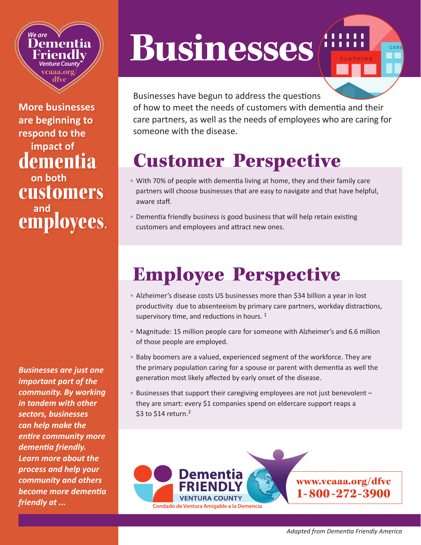#### *We are* **Dementia Friendly** *Ventura County* **vcaaa.org/ dfvc**

**More businesses are beginning to respond to the impact of**  dementia **on both**  customers **employees.** 

*Businesses are just one important part of the community. By working in tandem with other sectors, businesses can help make the entire community more dementia friendly. Learn more about the process and help your community and others become more dementia friendly at ...*

# **Businesses**



Businesses have begun to address the questions of how to meet the needs of customers with dementia and their care partners, as well as the needs of employees who are caring for someone with the disease.

### Customer Perspective

- With 70% of people with dementia living at home, they and their family care partners will choose businesses that are easy to navigate and that have helpful, aware staff.
- Dementia friendly business is good business that will help retain existing customers and employees and attract new ones.

## Employee Perspective

- Alzheimer's disease costs US businesses more than \$34 billion a year in lost productivity due to absenteeism by primary care partners, workday distractions, supervisory time, and reductions in hours.<sup>1</sup>
- Magnitude: 15 million people care for someone with Alzheimer's and 6.6 million of those people are employed.
- Baby boomers are a valued, experienced segment of the workforce. They are the primary population caring for a spouse or parent with dementia as well the generation most likely affected by early onset of the disease.
- Businesses that support their caregiving employees are not just benevolent they are smart: every \$1 companies spend on eldercare support reaps a \$3 to \$14 return. $2$

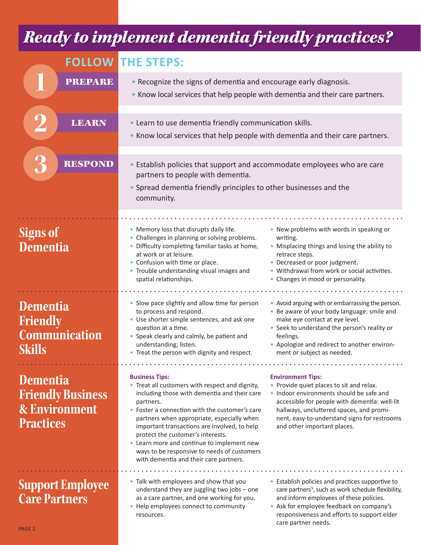#### *Ready to implement dementia friendly practices?*

|                                                                                             | <b>FOLLOW THE STEPS:</b>                                                                                                                                                                                                                                                                                                                                                                                                                                          |                                                                                                                                                                                                                                                                                              |
|---------------------------------------------------------------------------------------------|-------------------------------------------------------------------------------------------------------------------------------------------------------------------------------------------------------------------------------------------------------------------------------------------------------------------------------------------------------------------------------------------------------------------------------------------------------------------|----------------------------------------------------------------------------------------------------------------------------------------------------------------------------------------------------------------------------------------------------------------------------------------------|
| <b>PREPARE</b>                                                                              | • Recognize the signs of dementia and encourage early diagnosis.<br>• Know local services that help people with dementia and their care partners.                                                                                                                                                                                                                                                                                                                 |                                                                                                                                                                                                                                                                                              |
| <b>LEARN</b>                                                                                | • Learn to use dementia friendly communication skills.<br>. Know local services that help people with dementia and their care partners.                                                                                                                                                                                                                                                                                                                           |                                                                                                                                                                                                                                                                                              |
| <b>RESPOND</b>                                                                              | • Establish policies that support and accommodate employees who are care<br>partners to people with dementia.<br>• Spread dementia friendly principles to other businesses and the<br>community.                                                                                                                                                                                                                                                                  |                                                                                                                                                                                                                                                                                              |
| <b>Signs of</b><br>Dementia                                                                 | • Memory loss that disrupts daily life.<br>• Challenges in planning or solving problems.<br>• Difficulty completing familiar tasks at home,<br>at work or at leisure.<br>• Confusion with time or place.<br>• Trouble understanding visual images and<br>spatial relationships.                                                                                                                                                                                   | • New problems with words in speaking or<br>writing.<br>• Misplacing things and losing the ability to<br>retrace steps.<br>• Decreased or poor judgment.<br>• Withdrawal from work or social activities.<br>• Changes in mood or personality.                                                |
| <b>Dementia</b><br><b>Friendly</b><br><b>Communication</b><br>Skills                        | • Slow pace slightly and allow time for person<br>to process and respond.<br>• Use shorter simple sentences, and ask one<br>question at a time.<br>• Speak clearly and calmly, be patient and<br>understanding; listen.<br>• Treat the person with dignity and respect.                                                                                                                                                                                           | • Avoid arguing with or embarrassing the person.<br>• Be aware of your body language: smile and<br>make eye contact at eye level.<br>• Seek to understand the person's reality or<br>feelings.<br>• Apologize and redirect to another environ-<br>ment or subject as needed.                 |
| <b>Dementia</b><br><b>Friendly Business</b><br><b>&amp; Environment</b><br><b>Practices</b> | <b>Business Tips:</b><br>• Treat all customers with respect and dignity,<br>including those with dementia and their care<br>partners.<br>• Foster a connection with the customer's care<br>partners when appropriate, especially when<br>important transactions are involved, to help<br>protect the customer's interests.<br>• Learn more and continue to implement new<br>ways to be responsive to needs of customers<br>with dementia and their care partners. | <b>Environment Tips:</b><br>• Provide quiet places to sit and relax.<br>. Indoor environments should be safe and<br>accessible for people with dementia: well-lit<br>hallways, uncluttered spaces, and promi-<br>nent, easy-to-understand signs for restrooms<br>and other important places. |
| <b>Support Employee</b><br><b>Care Partners</b>                                             | • Talk with employees and show that you<br>understand they are juggling two jobs - one<br>as a care partner, and one working for you.<br>• Help employees connect to community<br>resources.                                                                                                                                                                                                                                                                      | • Establish policies and practices supportive to<br>care partners <sup>5</sup> , such as work schedule flexibility,<br>and inform employees of these policies.<br>• Ask for employee feedback on company's<br>responsiveness and efforts to support elder<br>care partner needs.             |